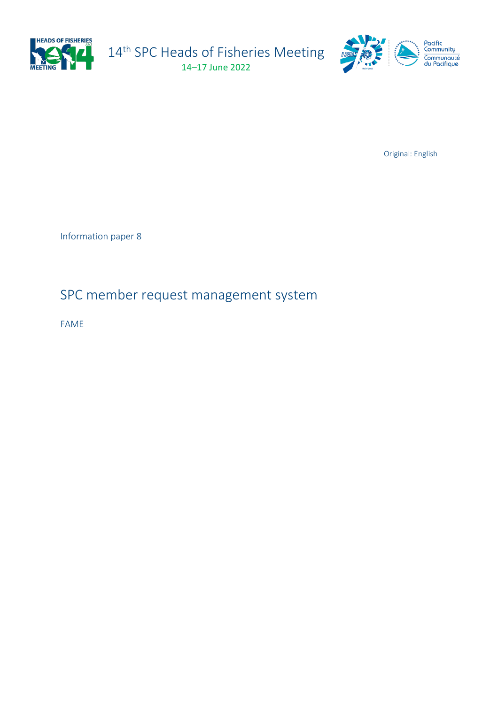

14<sup>th</sup> SPC Heads of Fisheries Meeting 14–17 June 2022

 $\sqrt{6}$ 



Original: English

Information paper 8

## SPC member request management system

FAME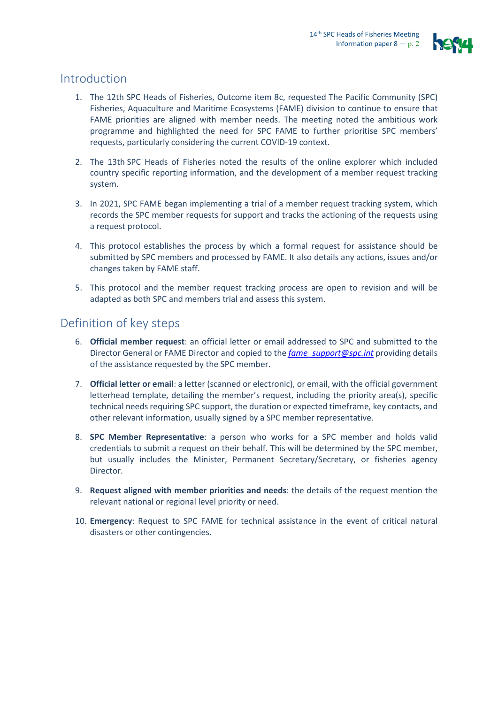

#### Introduction

- 1. The 12th SPC Heads of Fisheries, Outcome item 8c, requested The Pacific Community (SPC) Fisheries, Aquaculture and Maritime Ecosystems (FAME) division to continue to ensure that FAME priorities are aligned with member needs. The meeting noted the ambitious work programme and highlighted the need for SPC FAME to further prioritise SPC members' requests, particularly considering the current COVID-19 context.
- 2. The 13th SPC Heads of Fisheries noted the results of the online explorer which included country specific reporting information, and the development of a member request tracking system.
- 3. In 2021, SPC FAME began implementing a trial of a member request tracking system, which records the SPC member requests for support and tracks the actioning of the requests using a request protocol.
- 4. This protocol establishes the process by which a formal request for assistance should be submitted by SPC members and processed by FAME. It also details any actions, issues and/or changes taken by FAME staff.
- 5. This protocol and the member request tracking process are open to revision and will be adapted as both SPC and members trial and assess this system.

#### Definition of key steps

- 6. **Official member request**: an official letter or email addressed to SPC and submitted to the Director General or FAME Director and copied to the *[fame\\_support@spc.int](mailto:fame_support@spc.int)* providing details of the assistance requested by the SPC member.
- 7. **Official letter or email**: a letter (scanned or electronic), or email, with the official government letterhead template, detailing the member's request, including the priority area(s), specific technical needs requiring SPC support, the duration or expected timeframe, key contacts, and other relevant information, usually signed by a SPC member representative.
- 8. **SPC Member Representative**: a person who works for a SPC member and holds valid credentials to submit a request on their behalf. This will be determined by the SPC member, but usually includes the Minister, Permanent Secretary/Secretary, or fisheries agency Director.
- 9. **Request aligned with member priorities and needs**: the details of the request mention the relevant national or regional level priority or need.
- 10. **Emergency**: Request to SPC FAME for technical assistance in the event of critical natural disasters or other contingencies.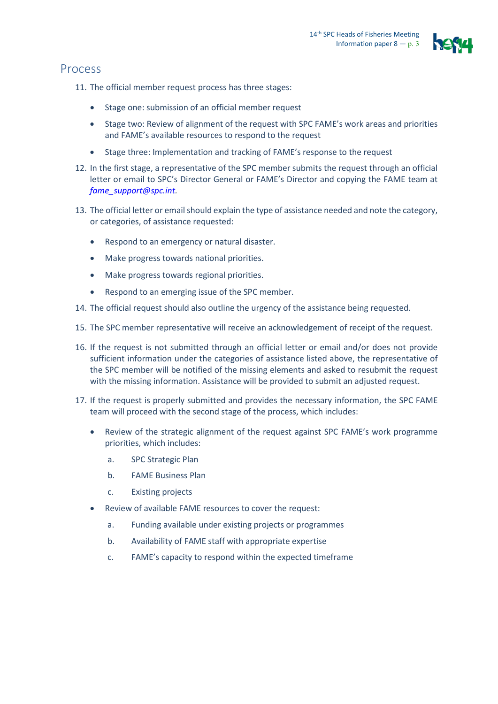

### Process

11. The official member request process has three stages:

- Stage one: submission of an official member request
- Stage two: Review of alignment of the request with SPC FAME's work areas and priorities and FAME's available resources to respond to the request
- Stage three: Implementation and tracking of FAME's response to the request
- 12. In the first stage, a representative of the SPC member submits the request through an official letter or email to SPC's Director General or FAME's Director and copying the FAME team at *[fame\\_support@spc.int.](mailto:fame_support@spc.int)*
- 13. The official letter or email should explain the type of assistance needed and note the category, or categories, of assistance requested:
	- Respond to an emergency or natural disaster.
	- Make progress towards national priorities.
	- Make progress towards regional priorities.
	- Respond to an emerging issue of the SPC member.
- 14. The official request should also outline the urgency of the assistance being requested.
- 15. The SPC member representative will receive an acknowledgement of receipt of the request.
- 16. If the request is not submitted through an official letter or email and/or does not provide sufficient information under the categories of assistance listed above, the representative of the SPC member will be notified of the missing elements and asked to resubmit the request with the missing information. Assistance will be provided to submit an adjusted request.
- 17. If the request is properly submitted and provides the necessary information, the SPC FAME team will proceed with the second stage of the process, which includes:
	- Review of the strategic alignment of the request against SPC FAME's work programme priorities, which includes:
		- a. SPC Strategic Plan
		- b. FAME Business Plan
		- c. Existing projects
	- Review of available FAME resources to cover the request:
		- a. Funding available under existing projects or programmes
		- b. Availability of FAME staff with appropriate expertise
		- c. FAME's capacity to respond within the expected timeframe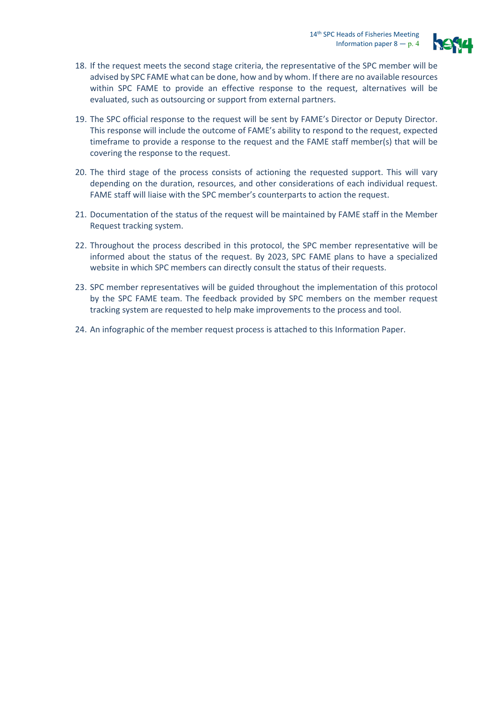

- 18. If the request meets the second stage criteria, the representative of the SPC member will be advised by SPC FAME what can be done, how and by whom. If there are no available resources within SPC FAME to provide an effective response to the request, alternatives will be evaluated, such as outsourcing or support from external partners.
- 19. The SPC official response to the request will be sent by FAME's Director or Deputy Director. This response will include the outcome of FAME's ability to respond to the request, expected timeframe to provide a response to the request and the FAME staff member(s) that will be covering the response to the request.
- 20. The third stage of the process consists of actioning the requested support. This will vary depending on the duration, resources, and other considerations of each individual request. FAME staff will liaise with the SPC member's counterparts to action the request.
- 21. Documentation of the status of the request will be maintained by FAME staff in the Member Request tracking system.
- 22. Throughout the process described in this protocol, the SPC member representative will be informed about the status of the request. By 2023, SPC FAME plans to have a specialized website in which SPC members can directly consult the status of their requests.
- 23. SPC member representatives will be guided throughout the implementation of this protocol by the SPC FAME team. The feedback provided by SPC members on the member request tracking system are requested to help make improvements to the process and tool.
- 24. An infographic of the member request process is attached to this Information Paper.